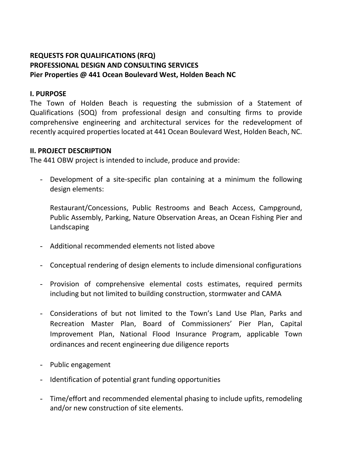# **REQUESTS FOR QUALIFICATIONS (RFQ) PROFESSIONAL DESIGN AND CONSULTING SERVICES Pier Properties @ 441 Ocean Boulevard West, Holden Beach NC**

#### **I. PURPOSE**

The Town of Holden Beach is requesting the submission of a Statement of Qualifications (SOQ) from professional design and consulting firms to provide comprehensive engineering and architectural services for the redevelopment of recently acquired properties located at 441 Ocean Boulevard West, Holden Beach, NC.

#### **II. PROJECT DESCRIPTION**

The 441 OBW project is intended to include, produce and provide:

- Development of a site-specific plan containing at a minimum the following design elements:

Restaurant/Concessions, Public Restrooms and Beach Access, Campground, Public Assembly, Parking, Nature Observation Areas, an Ocean Fishing Pier and Landscaping

- Additional recommended elements not listed above
- Conceptual rendering of design elements to include dimensional configurations
- Provision of comprehensive elemental costs estimates, required permits including but not limited to building construction, stormwater and CAMA
- Considerations of but not limited to the Town's Land Use Plan, Parks and Recreation Master Plan, Board of Commissioners' Pier Plan, Capital Improvement Plan, National Flood Insurance Program, applicable Town ordinances and recent engineering due diligence reports
- Public engagement
- Identification of potential grant funding opportunities
- Time/effort and recommended elemental phasing to include upfits, remodeling and/or new construction of site elements.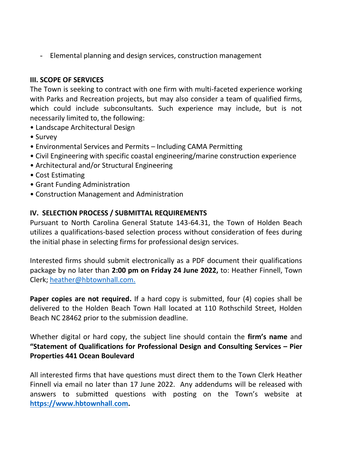- Elemental planning and design services, construction management

# **III. SCOPE OF SERVICES**

The Town is seeking to contract with one firm with multi-faceted experience working with Parks and Recreation projects, but may also consider a team of qualified firms, which could include subconsultants. Such experience may include, but is not necessarily limited to, the following:

- Landscape Architectural Design
- Survey
- Environmental Services and Permits Including CAMA Permitting
- Civil Engineering with specific coastal engineering/marine construction experience
- Architectural and/or Structural Engineering
- Cost Estimating
- Grant Funding Administration
- Construction Management and Administration

# **IV. SELECTION PROCESS / SUBMITTAL REQUIREMENTS**

Pursuant to North Carolina General Statute 143-64.31, the Town of Holden Beach utilizes a qualifications-based selection process without consideration of fees during the initial phase in selecting firms for professional design services.

Interested firms should submit electronically as a PDF document their qualifications package by no later than **2:00 pm on Friday 24 June 2022,** to: Heather Finnell, Town Clerk; [heather@hbtownhall.com.](mailto:heather@hbtownhall.com)

**Paper copies are not required.** If a hard copy is submitted, four (4) copies shall be delivered to the Holden Beach Town Hall located at 110 Rothschild Street, Holden Beach NC 28462 prior to the submission deadline.

Whether digital or hard copy, the subject line should contain the **firm's name** and **"Statement of Qualifications for Professional Design and Consulting Services – Pier Properties 441 Ocean Boulevard** 

All interested firms that have questions must direct them to the Town Clerk Heather Finnell via email no later than 17 June 2022. Any addendums will be released with answers to submitted questions with posting on the Town's website at **[https://www.hbtownhall](https://www.hbtownhall.com/)**.**com.**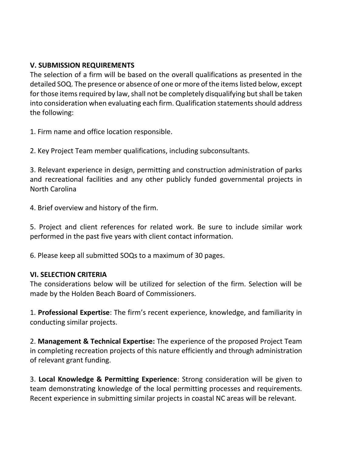## **V. SUBMISSION REQUIREMENTS**

The selection of a firm will be based on the overall qualifications as presented in the detailed SOQ. The presence or absence of one or more of the items listed below, except for those items required by law, shall not be completely disqualifying but shall be taken into consideration when evaluating each firm. Qualification statements should address the following:

1. Firm name and office location responsible.

2. Key Project Team member qualifications, including subconsultants.

3. Relevant experience in design, permitting and construction administration of parks and recreational facilities and any other publicly funded governmental projects in North Carolina

4. Brief overview and history of the firm.

5. Project and client references for related work. Be sure to include similar work performed in the past five years with client contact information.

6. Please keep all submitted SOQs to a maximum of 30 pages.

## **VI. SELECTION CRITERIA**

The considerations below will be utilized for selection of the firm. Selection will be made by the Holden Beach Board of Commissioners.

1. **Professional Expertise**: The firm's recent experience, knowledge, and familiarity in conducting similar projects.

2. **Management & Technical Expertise:** The experience of the proposed Project Team in completing recreation projects of this nature efficiently and through administration of relevant grant funding.

3. **Local Knowledge & Permitting Experience**: Strong consideration will be given to team demonstrating knowledge of the local permitting processes and requirements. Recent experience in submitting similar projects in coastal NC areas will be relevant.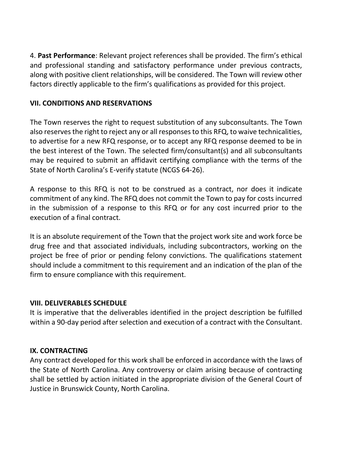4. **Past Performance**: Relevant project references shall be provided. The firm's ethical and professional standing and satisfactory performance under previous contracts, along with positive client relationships, will be considered. The Town will review other factors directly applicable to the firm's qualifications as provided for this project.

#### **VII. CONDITIONS AND RESERVATIONS**

The Town reserves the right to request substitution of any subconsultants. The Town also reserves the right to reject any or all responses to this RFQ, to waive technicalities, to advertise for a new RFQ response, or to accept any RFQ response deemed to be in the best interest of the Town. The selected firm/consultant(s) and all subconsultants may be required to submit an affidavit certifying compliance with the terms of the State of North Carolina's E-verify statute (NCGS 64-26).

A response to this RFQ is not to be construed as a contract, nor does it indicate commitment of any kind. The RFQ does not commit the Town to pay for costs incurred in the submission of a response to this RFQ or for any cost incurred prior to the execution of a final contract.

It is an absolute requirement of the Town that the project work site and work force be drug free and that associated individuals, including subcontractors, working on the project be free of prior or pending felony convictions. The qualifications statement should include a commitment to this requirement and an indication of the plan of the firm to ensure compliance with this requirement.

## **VIII. DELIVERABLES SCHEDULE**

It is imperative that the deliverables identified in the project description be fulfilled within a 90-day period after selection and execution of a contract with the Consultant.

## **IX. CONTRACTING**

Any contract developed for this work shall be enforced in accordance with the laws of the State of North Carolina. Any controversy or claim arising because of contracting shall be settled by action initiated in the appropriate division of the General Court of Justice in Brunswick County, North Carolina.